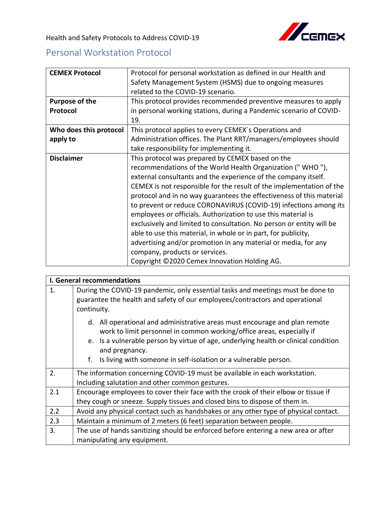

Health and Safety Protocols to Address COVID-19

## Personal Workstation Protocol

| <b>CEMEX Protocol</b>  | Protocol for personal workstation as defined in our Health and       |
|------------------------|----------------------------------------------------------------------|
|                        | Safety Management System (HSMS) due to ongoing measures              |
|                        | related to the COVID-19 scenario.                                    |
| <b>Purpose of the</b>  | This protocol provides recommended preventive measures to apply      |
| Protocol               | in personal working stations, during a Pandemic scenario of COVID-   |
|                        | 19.                                                                  |
| Who does this protocol | This protocol applies to every CEMEX's Operations and                |
| apply to               | Administration offices. The Plant RRT/managers/employees should      |
|                        | take responsibility for implementing it.                             |
| <b>Disclaimer</b>      | This protocol was prepared by CEMEX based on the                     |
|                        | recommendations of the World Health Organization ("WHO"),            |
|                        | external consultants and the experience of the company itself.       |
|                        | CEMEX is not responsible for the result of the implementation of the |
|                        | protocol and in no way guarantees the effectiveness of this material |
|                        | to prevent or reduce CORONAVIRUS (COVID-19) infections among its     |
|                        | employees or officials. Authorization to use this material is        |
|                        | exclusively and limited to consultation. No person or entity will be |
|                        | able to use this material, in whole or in part, for publicity,       |
|                        | advertising and/or promotion in any material or media, for any       |
|                        | company, products or services.                                       |
|                        | Copyright ©2020 Cemex Innovation Holding AG.                         |

| <b>I. General recommendations</b> |                                                                                                                                                                                                                                                                                                                                        |  |
|-----------------------------------|----------------------------------------------------------------------------------------------------------------------------------------------------------------------------------------------------------------------------------------------------------------------------------------------------------------------------------------|--|
| 1.                                | During the COVID-19 pandemic, only essential tasks and meetings must be done to<br>guarantee the health and safety of our employees/contractors and operational<br>continuity.                                                                                                                                                         |  |
|                                   | d. All operational and administrative areas must encourage and plan remote<br>work to limit personnel in common working/office areas, especially if<br>e. Is a vulnerable person by virtue of age, underlying health or clinical condition<br>and pregnancy.<br>f.<br>Is living with someone in self-isolation or a vulnerable person. |  |
| 2.                                | The information concerning COVID-19 must be available in each workstation.                                                                                                                                                                                                                                                             |  |
|                                   | Including salutation and other common gestures.                                                                                                                                                                                                                                                                                        |  |
| 2.1                               | Encourage employees to cover their face with the crook of their elbow or tissue if                                                                                                                                                                                                                                                     |  |
|                                   | they cough or sneeze. Supply tissues and closed bins to dispose of them in.                                                                                                                                                                                                                                                            |  |
| 2.2                               | Avoid any physical contact such as handshakes or any other type of physical contact.                                                                                                                                                                                                                                                   |  |
| 2.3                               | Maintain a minimum of 2 meters (6 feet) separation between people.                                                                                                                                                                                                                                                                     |  |
| 3.                                | The use of hands sanitizing should be enforced before entering a new area or after                                                                                                                                                                                                                                                     |  |
|                                   | manipulating any equipment.                                                                                                                                                                                                                                                                                                            |  |